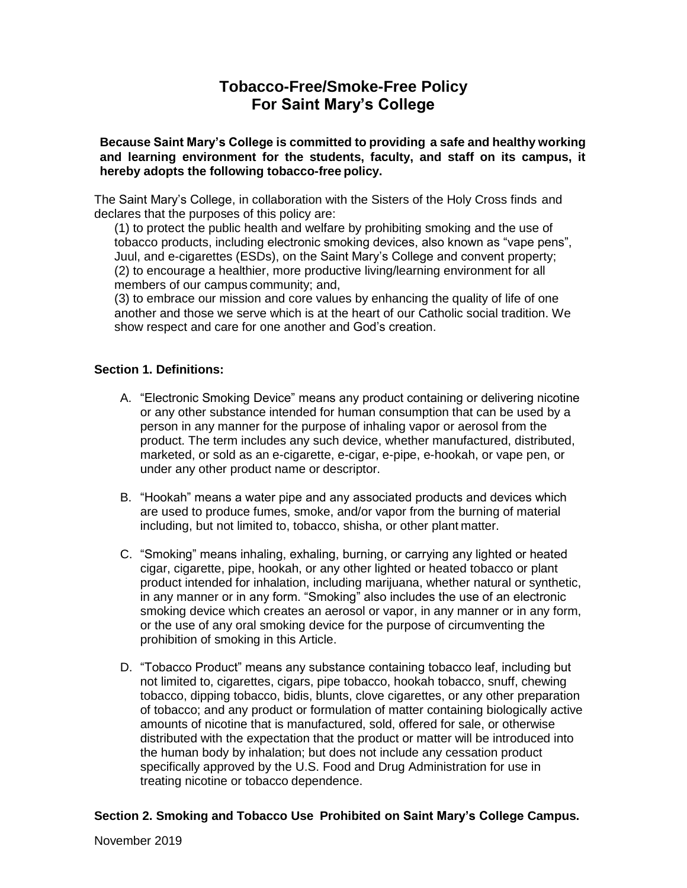# **Tobacco-Free/Smoke-Free Policy For Saint Mary's College**

**Because Saint Mary's College is committed to providing a safe and healthy working and learning environment for the students, faculty, and staff on its campus, it hereby adopts the following tobacco-free policy.**

The Saint Mary's College, in collaboration with the Sisters of the Holy Cross finds and declares that the purposes of this policy are:

(1) to protect the public health and welfare by prohibiting smoking and the use of tobacco products, including electronic smoking devices, also known as "vape pens", Juul, and e-cigarettes (ESDs), on the Saint Mary's College and convent property; (2) to encourage a healthier, more productive living/learning environment for all members of our campus community; and,

(3) to embrace our mission and core values by enhancing the quality of life of one another and those we serve which is at the heart of our Catholic social tradition. We show respect and care for one another and God's creation.

### **Section 1. Definitions:**

- A. "Electronic Smoking Device" means any product containing or delivering nicotine or any other substance intended for human consumption that can be used by a person in any manner for the purpose of inhaling vapor or aerosol from the product. The term includes any such device, whether manufactured, distributed, marketed, or sold as an e-cigarette, e-cigar, e-pipe, e-hookah, or vape pen, or under any other product name or descriptor.
- B. "Hookah" means a water pipe and any associated products and devices which are used to produce fumes, smoke, and/or vapor from the burning of material including, but not limited to, tobacco, shisha, or other plant matter.
- C. "Smoking" means inhaling, exhaling, burning, or carrying any lighted or heated cigar, cigarette, pipe, hookah, or any other lighted or heated tobacco or plant product intended for inhalation, including marijuana, whether natural or synthetic, in any manner or in any form. "Smoking" also includes the use of an electronic smoking device which creates an aerosol or vapor, in any manner or in any form, or the use of any oral smoking device for the purpose of circumventing the prohibition of smoking in this Article.
- D. "Tobacco Product" means any substance containing tobacco leaf, including but not limited to, cigarettes, cigars, pipe tobacco, hookah tobacco, snuff, chewing tobacco, dipping tobacco, bidis, blunts, clove cigarettes, or any other preparation of tobacco; and any product or formulation of matter containing biologically active amounts of nicotine that is manufactured, sold, offered for sale, or otherwise distributed with the expectation that the product or matter will be introduced into the human body by inhalation; but does not include any cessation product specifically approved by the U.S. Food and Drug Administration for use in treating nicotine or tobacco dependence.

#### **Section 2. Smoking and Tobacco Use Prohibited on Saint Mary's College Campus.**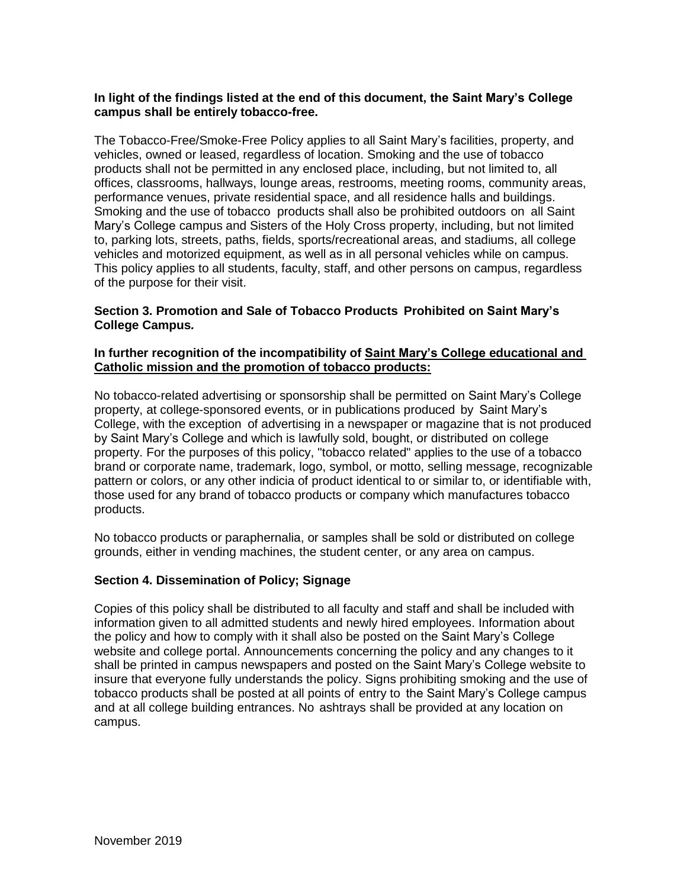#### **In light of the findings listed at the end of this document, the Saint Mary's College campus shall be entirely tobacco-free.**

The Tobacco-Free/Smoke-Free Policy applies to all Saint Mary's facilities, property, and vehicles, owned or leased, regardless of location. Smoking and the use of tobacco products shall not be permitted in any enclosed place, including, but not limited to, all offices, classrooms, hallways, lounge areas, restrooms, meeting rooms, community areas, performance venues, private residential space, and all residence halls and buildings. Smoking and the use of tobacco products shall also be prohibited outdoors on all Saint Mary's College campus and Sisters of the Holy Cross property, including, but not limited to, parking lots, streets, paths, fields, sports/recreational areas, and stadiums, all college vehicles and motorized equipment, as well as in all personal vehicles while on campus. This policy applies to all students, faculty, staff, and other persons on campus, regardless of the purpose for their visit.

### **Section 3. Promotion and Sale of Tobacco Products Prohibited on Saint Mary's College Campus***.*

#### **In further recognition of the incompatibility of Saint Mary's College educational and Catholic mission and the promotion of tobacco products:**

No tobacco-related advertising or sponsorship shall be permitted on Saint Mary's College property, at college-sponsored events, or in publications produced by Saint Mary's College, with the exception of advertising in a newspaper or magazine that is not produced by Saint Mary's College and which is lawfully sold, bought, or distributed on college property. For the purposes of this policy, "tobacco related" applies to the use of a tobacco brand or corporate name, trademark, logo, symbol, or motto, selling message, recognizable pattern or colors, or any other indicia of product identical to or similar to, or identifiable with, those used for any brand of tobacco products or company which manufactures tobacco products.

No tobacco products or paraphernalia, or samples shall be sold or distributed on college grounds, either in vending machines, the student center, or any area on campus.

#### **Section 4. Dissemination of Policy; Signage**

Copies of this policy shall be distributed to all faculty and staff and shall be included with information given to all admitted students and newly hired employees. Information about the policy and how to comply with it shall also be posted on the Saint Mary's College website and college portal. Announcements concerning the policy and any changes to it shall be printed in campus newspapers and posted on the Saint Mary's College website to insure that everyone fully understands the policy. Signs prohibiting smoking and the use of tobacco products shall be posted at all points of entry to the Saint Mary's College campus and at all college building entrances. No ashtrays shall be provided at any location on campus.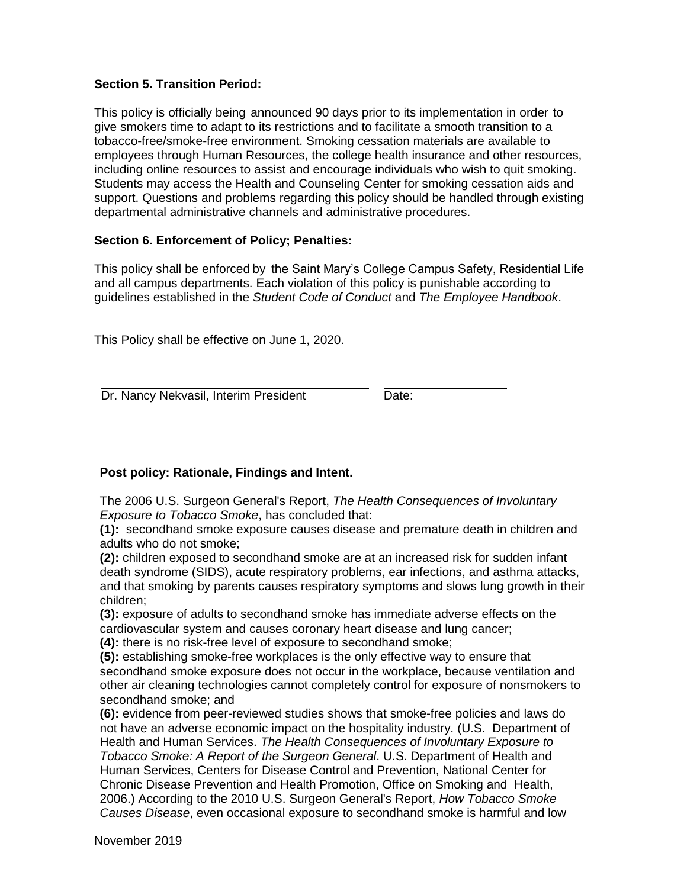### **Section 5. Transition Period:**

This policy is officially being announced 90 days prior to its implementation in order to give smokers time to adapt to its restrictions and to facilitate a smooth transition to a tobacco-free/smoke-free environment. Smoking cessation materials are available to employees through Human Resources, the college health insurance and other resources, including online resources to assist and encourage individuals who wish to quit smoking. Students may access the Health and Counseling Center for smoking cessation aids and support. Questions and problems regarding this policy should be handled through existing departmental administrative channels and administrative procedures.

### **Section 6. Enforcement of Policy; Penalties:**

This policy shall be enforced by the Saint Mary's College Campus Safety, Residential Life and all campus departments. Each violation of this policy is punishable according to guidelines established in the *Student Code of Conduct* and *The Employee Handbook*.

This Policy shall be effective on June 1, 2020.

Dr. Nancy Nekvasil, Interim President Date:

### **Post policy: Rationale, Findings and Intent.**

The 2006 U.S. Surgeon General's Report, *The Health Consequences of Involuntary Exposure to Tobacco Smoke*, has concluded that:

**(1):** secondhand smoke exposure causes disease and premature death in children and adults who do not smoke;

**(2):** children exposed to secondhand smoke are at an increased risk for sudden infant death syndrome (SIDS), acute respiratory problems, ear infections, and asthma attacks, and that smoking by parents causes respiratory symptoms and slows lung growth in their children;

**(3):** exposure of adults to secondhand smoke has immediate adverse effects on the cardiovascular system and causes coronary heart disease and lung cancer; **(4):** there is no risk-free level of exposure to secondhand smoke;

**(5):** establishing smoke-free workplaces is the only effective way to ensure that secondhand smoke exposure does not occur in the workplace, because ventilation and other air cleaning technologies cannot completely control for exposure of nonsmokers to secondhand smoke; and

**(6):** evidence from peer-reviewed studies shows that smoke-free policies and laws do not have an adverse economic impact on the hospitality industry. (U.S. Department of Health and Human Services. *The Health Consequences of Involuntary Exposure to Tobacco Smoke: A Report of the Surgeon General*. U.S. Department of Health and Human Services, Centers for Disease Control and Prevention, National Center for Chronic Disease Prevention and Health Promotion, Office on Smoking and Health, 2006.) According to the 2010 U.S. Surgeon General's Report, *How Tobacco Smoke Causes Disease*, even occasional exposure to secondhand smoke is harmful and low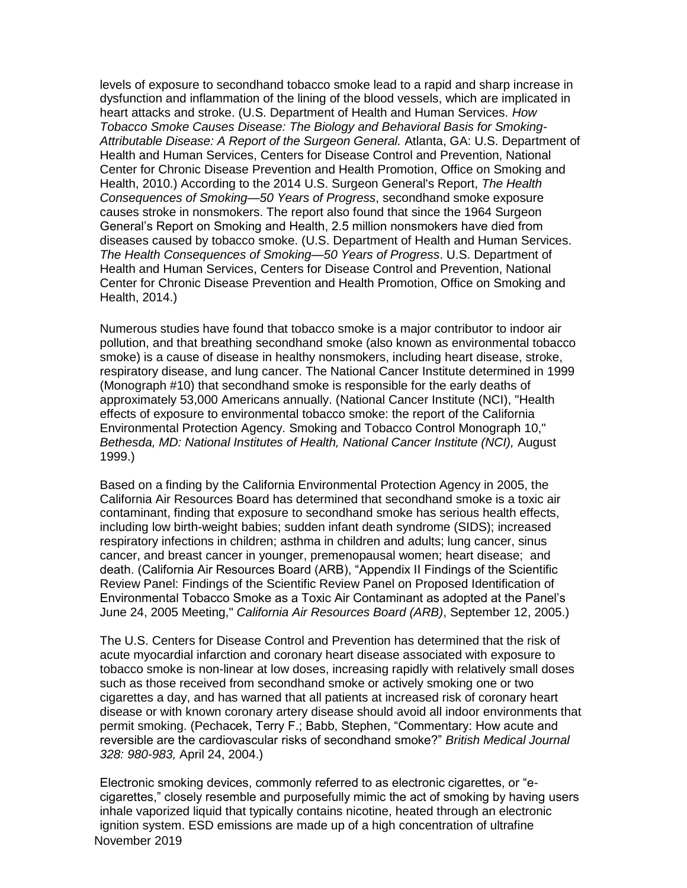levels of exposure to secondhand tobacco smoke lead to a rapid and sharp increase in dysfunction and inflammation of the lining of the blood vessels, which are implicated in heart attacks and stroke. (U.S. Department of Health and Human Services. *How Tobacco Smoke Causes Disease: The Biology and Behavioral Basis for Smoking-Attributable Disease: A Report of the Surgeon General.* Atlanta, GA: U.S. Department of Health and Human Services, Centers for Disease Control and Prevention, National Center for Chronic Disease Prevention and Health Promotion, Office on Smoking and Health, 2010.) According to the 2014 U.S. Surgeon General's Report, *The Health Consequences of Smoking—50 Years of Progress*, secondhand smoke exposure causes stroke in nonsmokers. The report also found that since the 1964 Surgeon General's Report on Smoking and Health, 2.5 million nonsmokers have died from diseases caused by tobacco smoke. (U.S. Department of Health and Human Services. *The Health Consequences of Smoking—50 Years of Progress*. U.S. Department of Health and Human Services, Centers for Disease Control and Prevention, National Center for Chronic Disease Prevention and Health Promotion, Office on Smoking and Health, 2014.)

Numerous studies have found that tobacco smoke is a major contributor to indoor air pollution, and that breathing secondhand smoke (also known as environmental tobacco smoke) is a cause of disease in healthy nonsmokers, including heart disease, stroke, respiratory disease, and lung cancer. The National Cancer Institute determined in 1999 (Monograph #10) that secondhand smoke is responsible for the early deaths of approximately 53,000 Americans annually. (National Cancer Institute (NCI), "Health effects of exposure to environmental tobacco smoke: the report of the California Environmental Protection Agency. Smoking and Tobacco Control Monograph 10," *Bethesda, MD: National Institutes of Health, National Cancer Institute (NCI),* August 1999.)

Based on a finding by the California Environmental Protection Agency in 2005, the California Air Resources Board has determined that secondhand smoke is a toxic air contaminant, finding that exposure to secondhand smoke has serious health effects, including low birth-weight babies; sudden infant death syndrome (SIDS); increased respiratory infections in children; asthma in children and adults; lung cancer, sinus cancer, and breast cancer in younger, premenopausal women; heart disease; and death. (California Air Resources Board (ARB), "Appendix II Findings of the Scientific Review Panel: Findings of the Scientific Review Panel on Proposed Identification of Environmental Tobacco Smoke as a Toxic Air Contaminant as adopted at the Panel's June 24, 2005 Meeting," *California Air Resources Board (ARB)*, September 12, 2005.)

The U.S. Centers for Disease Control and Prevention has determined that the risk of acute myocardial infarction and coronary heart disease associated with exposure to tobacco smoke is non-linear at low doses, increasing rapidly with relatively small doses such as those received from secondhand smoke or actively smoking one or two cigarettes a day, and has warned that all patients at increased risk of coronary heart disease or with known coronary artery disease should avoid all indoor environments that permit smoking. (Pechacek, Terry F.; Babb, Stephen, "Commentary: How acute and reversible are the cardiovascular risks of secondhand smoke?" *British Medical Journal 328: 980-983,* April 24, 2004.)

November 2019 Electronic smoking devices, commonly referred to as electronic cigarettes, or "ecigarettes," closely resemble and purposefully mimic the act of smoking by having users inhale vaporized liquid that typically contains nicotine, heated through an electronic ignition system. ESD emissions are made up of a high concentration of ultrafine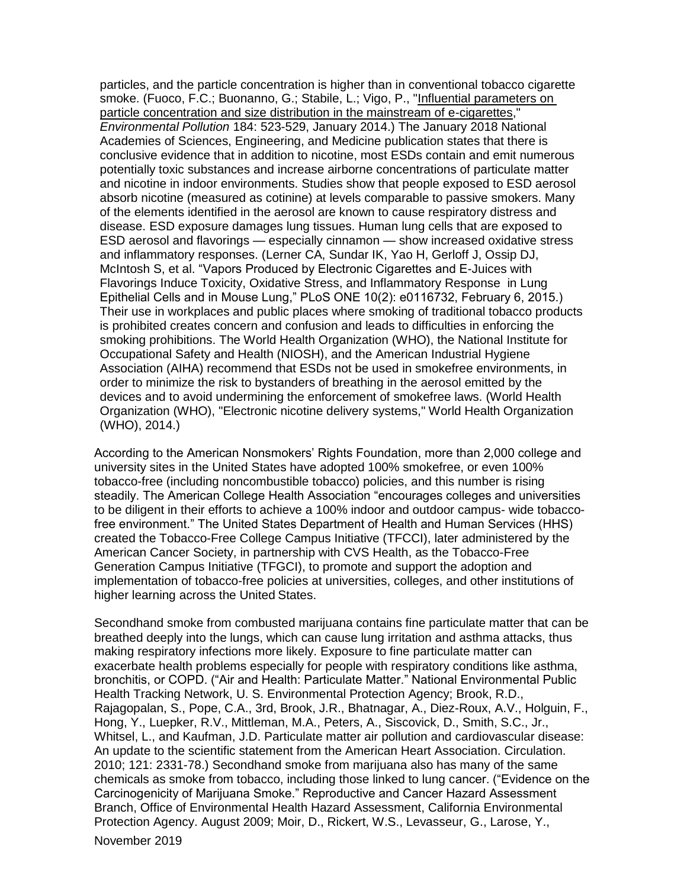particles, and the particle concentration is higher than in conventional tobacco cigarette smoke. (Fuoco, F.C.; Buonanno, G.; Stabile, L.; Vigo, P., ["Influential parameters on](http://www.sciencedirect.com/science/article/pii/S0269749113005307) [particle concentration and size distribution in the mainstream of e-cigarettes,](http://www.sciencedirect.com/science/article/pii/S0269749113005307)" *Environmental Pollution* 184: 523-529, January 2014.) The January 2018 National Academies of Sciences, Engineering, and Medicine publication states that there is conclusive evidence that in addition to nicotine, most ESDs contain and emit numerous potentially toxic substances and increase airborne concentrations of particulate matter and nicotine in indoor environments. Studies show that people exposed to ESD aerosol absorb nicotine (measured as cotinine) at levels comparable to passive smokers. Many of the elements identified in the aerosol are known to cause respiratory distress and disease. ESD exposure damages lung tissues. Human lung cells that are exposed to ESD aerosol and flavorings — especially cinnamon — show increased oxidative stress and inflammatory responses. (Lerner CA, Sundar IK, Yao H, Gerloff J, Ossip DJ, McIntosh S, et al. "Vapors Produced by Electronic Cigarettes and E-Juices with Flavorings Induce Toxicity, Oxidative Stress, and Inflammatory Response in Lung Epithelial Cells and in Mouse Lung," PLoS ONE 10(2): e0116732, February 6, 2015.) Their use in workplaces and public places where smoking of traditional tobacco products is prohibited creates concern and confusion and leads to difficulties in enforcing the smoking prohibitions. The World Health Organization (WHO), the National Institute for Occupational Safety and Health (NIOSH), and the American Industrial Hygiene Association (AIHA) recommend that ESDs not be used in smokefree environments, in order to minimize the risk to bystanders of breathing in the aerosol emitted by the devices and to avoid undermining the enforcement of smokefree laws. (World Health Organization (WHO), "Electronic nicotine delivery systems," World Health Organization (WHO), 2014.)

According to the American Nonsmokers' Rights Foundation, more than 2,000 college and university sites in the United States have adopted 100% smokefree, or even 100% tobacco-free (including noncombustible tobacco) policies, and this number is rising steadily. The American College Health Association "encourages colleges and universities to be diligent in their efforts to achieve a 100% indoor and outdoor campus- wide tobaccofree environment." The United States Department of Health and Human Services (HHS) created the Tobacco-Free College Campus Initiative (TFCCI), later administered by the American Cancer Society, in partnership with CVS Health, as the Tobacco-Free Generation Campus Initiative (TFGCI), to promote and support the adoption and implementation of tobacco-free policies at universities, colleges, and other institutions of higher learning across the United States.

Secondhand smoke from combusted marijuana contains fine particulate matter that can be breathed deeply into the lungs, which can cause lung irritation and asthma attacks, thus making respiratory infections more likely. Exposure to fine particulate matter can exacerbate health problems especially for people with respiratory conditions like asthma, bronchitis, or COPD. ("Air and Health: Particulate Matter." National Environmental Public Health Tracking Network, U. S. Environmental Protection Agency; Brook, R.D., Rajagopalan, S., Pope, C.A., 3rd, Brook, J.R., Bhatnagar, A., Diez-Roux, A.V., Holguin, F., Hong, Y., Luepker, R.V., Mittleman, M.A., Peters, A., Siscovick, D., Smith, S.C., Jr., Whitsel, L., and Kaufman, J.D. Particulate matter air pollution and cardiovascular disease: An update to the scientific statement from the American Heart Association. Circulation. 2010; 121: 2331-78.) Secondhand smoke from marijuana also has many of the same chemicals as smoke from tobacco, including those linked to lung cancer. ("Evidence on the Carcinogenicity of Marijuana Smoke." Reproductive and Cancer Hazard Assessment Branch, Office of Environmental Health Hazard Assessment, California Environmental Protection Agency. August 2009; Moir, D., Rickert, W.S., Levasseur, G., Larose, Y.,

November 2019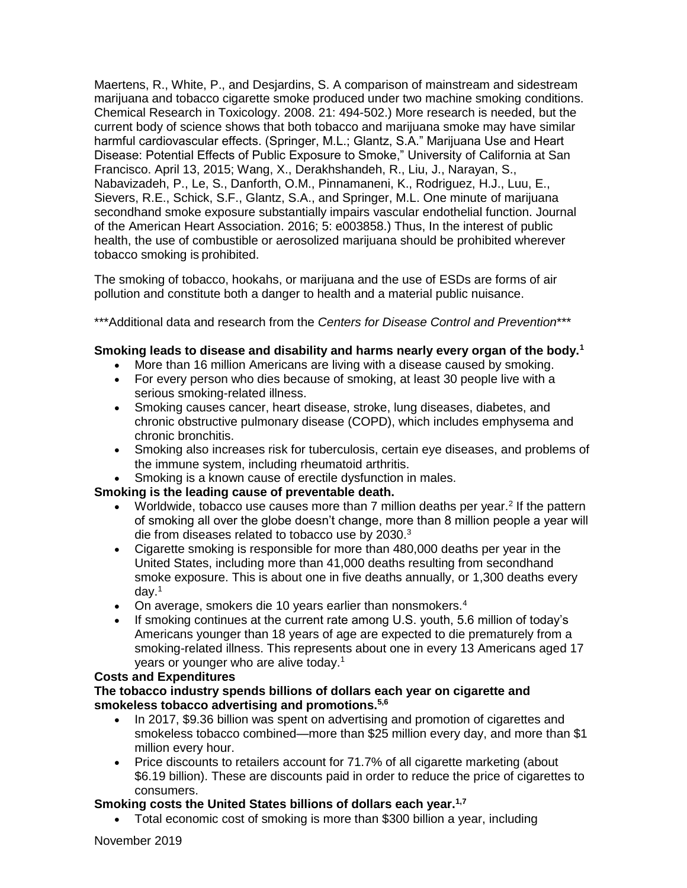Maertens, R., White, P., and Desjardins, S. A comparison of mainstream and sidestream marijuana and tobacco cigarette smoke produced under two machine smoking conditions. Chemical Research in Toxicology. 2008. 21: 494-502.) More research is needed, but the current body of science shows that both tobacco and marijuana smoke may have similar harmful cardiovascular effects. (Springer, M.L.; Glantz, S.A." Marijuana Use and Heart Disease: Potential Effects of Public Exposure to Smoke," University of California at San Francisco. April 13, 2015; Wang, X., Derakhshandeh, R., Liu, J., Narayan, S., Nabavizadeh, P., Le, S., Danforth, O.M., Pinnamaneni, K., Rodriguez, H.J., Luu, E., Sievers, R.E., Schick, S.F., Glantz, S.A., and Springer, M.L. One minute of marijuana secondhand smoke exposure substantially impairs vascular endothelial function. Journal of the American Heart Association. 2016; 5: e003858.) Thus, In the interest of public health, the use of combustible or aerosolized marijuana should be prohibited wherever tobacco smoking is prohibited.

The smoking of tobacco, hookahs, or marijuana and the use of ESDs are forms of air pollution and constitute both a danger to health and a material public nuisance.

\*\*\*Additional data and research from the *Centers for Disease Control and Prevention*\*\*\*

### **Smoking leads to disease and disability and harms nearly every organ of the body.<sup>1</sup>**

- More than 16 million Americans are living with a disease caused by smoking.
- For every person who dies because of smoking, at least 30 people live with a serious smoking-related illness.
- Smoking causes cancer, heart disease, stroke, lung diseases, diabetes, and chronic obstructive pulmonary disease (COPD), which includes emphysema and chronic bronchitis.
- Smoking also increases risk for tuberculosis, certain eye diseases, and problems of the immune system, including rheumatoid arthritis.
- Smoking is a known cause of erectile dysfunction in males.

#### **Smoking is the leading cause of preventable death.**

- Worldwide, tobacco use causes more than  $7$  million deaths per year.<sup>2</sup> If the pattern of smoking all over the globe doesn't change, more than 8 million people a year will die from diseases related to tobacco use by 2030.<sup>3</sup>
- Cigarette smoking is responsible for more than 480,000 deaths per year in the United States, including more than 41,000 deaths resulting from secondhand smoke exposure. This is about one in five deaths annually, or 1,300 deaths every day.<sup>1</sup>
- On average, smokers die 10 years earlier than nonsmokers.<sup>4</sup>
- If smoking continues at the current rate among U.S. youth, 5.6 million of today's Americans younger than 18 years of age are expected to die prematurely from a smoking-related illness. This represents about one in every 13 Americans aged 17 years or younger who are alive today.<sup>1</sup>

#### **Costs and Expenditures**

**The tobacco industry spends billions of dollars each year on cigarette and smokeless tobacco advertising and promotions.5,6**

- In 2017, \$9.36 billion was spent on advertising and promotion of cigarettes and smokeless tobacco combined—more than \$25 million every day, and more than \$1 million every hour.
- Price discounts to retailers account for 71.7% of all cigarette marketing (about \$6.19 billion). These are discounts paid in order to reduce the price of cigarettes to consumers.

#### **Smoking costs the United States billions of dollars each year.1,7**

Total economic cost of smoking is more than \$300 billion a year, including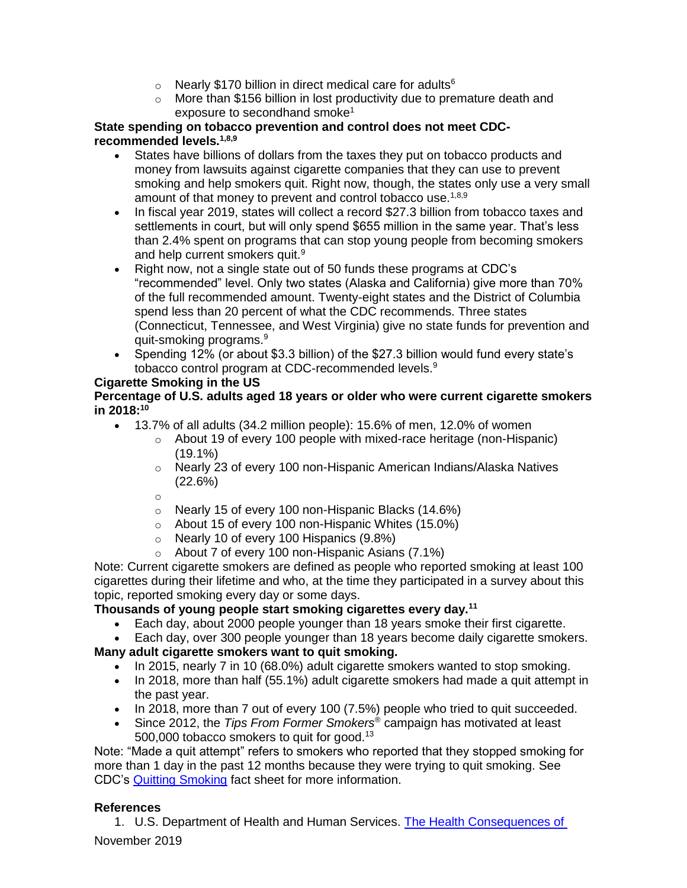- $\circ$  Nearly \$170 billion in direct medical care for adults<sup>6</sup>
- o More than \$156 billion in lost productivity due to premature death and exposure to secondhand smoke<sup>1</sup>

### **State spending on tobacco prevention and control does not meet CDCrecommended levels.1,8,9**

- States have billions of dollars from the taxes they put on tobacco products and money from lawsuits against cigarette companies that they can use to prevent smoking and help smokers quit. Right now, though, the states only use a very small amount of that money to prevent and control tobacco use.<sup>1,8,9</sup>
- In fiscal year 2019, states will collect a record \$27.3 billion from tobacco taxes and settlements in court, but will only spend \$655 million in the same year. That's less than 2.4% spent on programs that can stop young people from becoming smokers and help current smokers quit.<sup>9</sup>
- Right now, not a single state out of 50 funds these programs at CDC's "recommended" level. Only two states (Alaska and California) give more than 70% of the full recommended amount. Twenty-eight states and the District of Columbia spend less than 20 percent of what the CDC recommends. Three states (Connecticut, Tennessee, and West Virginia) give no state funds for prevention and quit-smoking programs.<sup>9</sup>
- Spending 12% (or about \$3.3 billion) of the \$27.3 billion would fund every state's tobacco control program at CDC-recommended levels.<sup>9</sup>

# **Cigarette Smoking in the US**

### **Percentage of U.S. adults aged 18 years or older who were current cigarette smokers in 2018:<sup>10</sup>**

- 13.7% of all adults (34.2 million people): 15.6% of men, 12.0% of women
	- o About 19 of every 100 people with mixed-race heritage (non-Hispanic)  $(19.1\%)$
	- $\circ$  Nearly 23 of every 100 non-Hispanic American Indians/Alaska Natives (22.6%)

o

- o Nearly 15 of every 100 non-Hispanic Blacks (14.6%)
- o About 15 of every 100 non-Hispanic Whites (15.0%)
- o Nearly 10 of every 100 Hispanics (9.8%)
- $\circ$  About 7 of every 100 non-Hispanic Asians (7.1%)

Note: Current cigarette smokers are defined as people who reported smoking at least 100 cigarettes during their lifetime and who, at the time they participated in a survey about this topic, reported smoking every day or some days.

### **Thousands of young people start smoking cigarettes every day.<sup>11</sup>**

- Each day, about 2000 people younger than 18 years smoke their first cigarette.
- Each day, over 300 people younger than 18 years become daily cigarette smokers.

# **Many adult cigarette smokers want to quit smoking.**

- In 2015, nearly 7 in 10 (68.0%) adult cigarette smokers wanted to stop smoking.
- In 2018, more than half (55.1%) adult cigarette smokers had made a quit attempt in the past year.
- In 2018, more than 7 out of every 100 (7.5%) people who tried to quit succeeded.
- Since 2012, the *Tips From Former Smokers*® campaign has motivated at least 500,000 tobacco smokers to quit for good.<sup>13</sup>

Note: "Made a quit attempt" refers to smokers who reported that they stopped smoking for more than 1 day in the past 12 months because they were trying to quit smoking. See CDC's [Quitting Smoking](https://www.cdc.gov/tobacco/data_statistics/fact_sheets/cessation/quitting/index.htm) fact sheet for more information.

### **References**

November 2019 1. U.S. Department of Health and Human Services. [The Health Consequences of](https://www.cdc.gov/tobacco/data_statistics/sgr/50th-anniversary/index.htm)